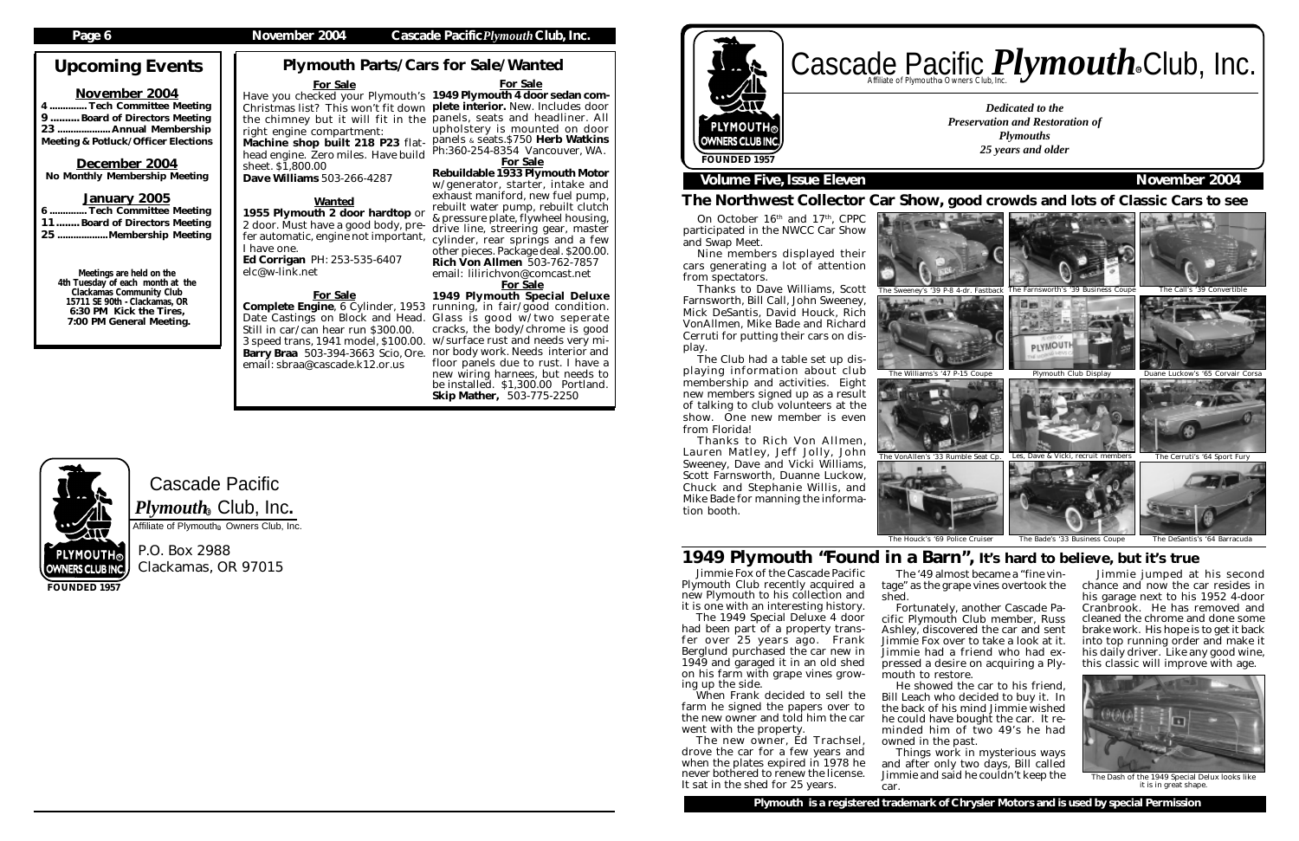For Sale upholstery is mounted on door  $p$ aphonels  $\&$  seats. \$750 Herb Watkins Ph:360-254-8354 Vancouver, WA. For Sale

Rebuildable 1933 Plymouth Motor w/generator, starter, intake and exhaust maniford, new fuel pump, rebuilt water pump, rebuilt clutch & pressure plate, flywheel housing, drive line, streering gear, master cylinder, rear springs and a few other pieces. Package deal. \$200.00. Rich Von Allmen 503-762-7857 email: lilirichvon@comcast.net

Cascade Pacific  $\boldsymbol{P} \boldsymbol{l}$ y $\boldsymbol{m} \boldsymbol{o}$ ut $\boldsymbol{h}_\circledast$  Club, Inc.

Affiliate of Plymouth<sup>®</sup> Owners Club, Inc.

# For Sale

.. Tech Committee Meeting 9 .......... Board of Directors Meeting 23 .................... Annual Membership Meeting & Potluck/Officer Elections

> 1949 Plymouth Special Deluxe cracks, the body/chrome is good floor panels due to rust. I have a new wiring harnees, but needs to be installed. \$1,300.00 Portland. Skip Mather, 503-775-2250

# Cascade Pacific *Plymouth* Souriers Club, Inc. R

P.O. Box 2988 Clackamas, OR 97015

# Upcoming Events

# November 2004

# December 2004

No Monthly Membership Meeting

# January 2005

| 6  Tech Committee Meeting     |  |
|-------------------------------|--|
| 11 Board of Directors Meeting |  |
| 25 Membership Meeting         |  |

Meetings are held on the 4th Tuesday of each month at the Clackamas Community Club 15711 SE 90th - Clackamas, OR 6:30 PM Kick the Tires, 7:00 PM General Meeting.

# Have you checked your Plymouth's 1949 Plymouth 4 door sedan com-Christmas list? This won't fit down plete interior. New. Includes door the chimney but it will fit in the panels, seats and headliner. All For Sale right engine compartment: Machine shop built 218 P23 flathead engine. Zero miles. Have build sheet. \$1,800.00 Dave Williams 503-266-4287

**FOUNDED 1957**

Complete Engine, 6 Cylinder, 1953 running, in fair/good condition. Date Castings on Block and Head. Glass is good w/two seperate 3 speed trans, 1941 model, \$100.00. w/surface rust and needs very mi-Barry Braa 503-394-3663 Scio, Ore. nor body work. Needs interior and Still in car/can hear run \$300.00. email: sbraa@cascade.k12.or.us

*Dedicated to the Preservation and Restoration of Plymouths 25 years and older*



# **Volume Five, Issue Eleven November 2004**

The Northwest Collector Car Show, good crowds and lots of Classic Cars to see

On October 16<sup>th</sup> and 17<sup>th</sup>, CPPC participated in the NWCC Car Show

Plymouth Parts/Cars for Sale/Wanted

Jimmie Fox of the Cascade Pacific Plymouth Club recently acquired a new Plymouth to his collection and it is one with an interesting history.

The 1949 Special Deluxe 4 door had been part of a property transfer over 25 years ago. Frank Berglund purchased the car new in 1949 and garaged it in an old shed on his farm with grape vines growing up the side.

When Frank decided to sell the farm he signed the papers over to the new owner and told him the car went with the property.



The Dash of the 1949 Special Delux looks like it is in great shape

The new owner, Ed Trachsel, drove the car for a few years and when the plates expired in 1978 he never bothered to renew the license. It sat in the shed for 25 years.

# Wanted

1955 Plymouth 2 door hardtop or 2 door. Must have a good body, prefer automatic, engine not important, I have one. Ed Corrigan PH: 253-535-6407

elc@w-link.net

# For Sale

The '49 almost became a "fine vintage" as the grape vines overtook the

shed. Fortunately, another Cascade Pacific Plymouth Club member, Russ Ashley, discovered the car and sent Jimmie Fox over to take a look at it. Jimmie had a friend who had expressed a desire on acquiring a Plymouth to restore.

He showed the car to his friend, Bill Leach who decided to buy it. In the back of his mind Jimmie wished he could have bought the car. It reminded him of two 49's he had owned in the past.

Things work in mysterious ways and after only two days, Bill called Jimmie and said he couldn't keep the car.

PLYMOUTH。 OWNERS CLUB INC.



Nine members displayed their

cars generating a lot of attention from spectators.

Thanks to Dave Williams, Scott Farnsworth, Bill Call, John Sweeney, Mick DeSantis, David Houck, Rich VonAllmen, Mike Bade and Richard Cerruti for putting their cars on display.

The Club had a table set up displaying information about club membership and activities. Eight new members signed up as a result of talking to club volunteers at the show. One new member is even from Florida!

Thanks to Rich Von Allmen, Lauren Matley, Jeff Jolly, John Sweeney, Dave and Vicki Williams, Scott Farnsworth, Duanne Luckow, Chuck and Stephanie Willis, and Mike Bade for manning the information booth.





Jimmie jumped at his second chance and now the car resides in his garage next to his 1952 4-door Cranbrook. He has removed and cleaned the chrome and done some brake work. His hope is to get it back into top running order and make it his daily driver. Like any good wine, this classic will improve with age.

# 1949 Plymouth "Found in a Barn", It's hard to believe, but it's true



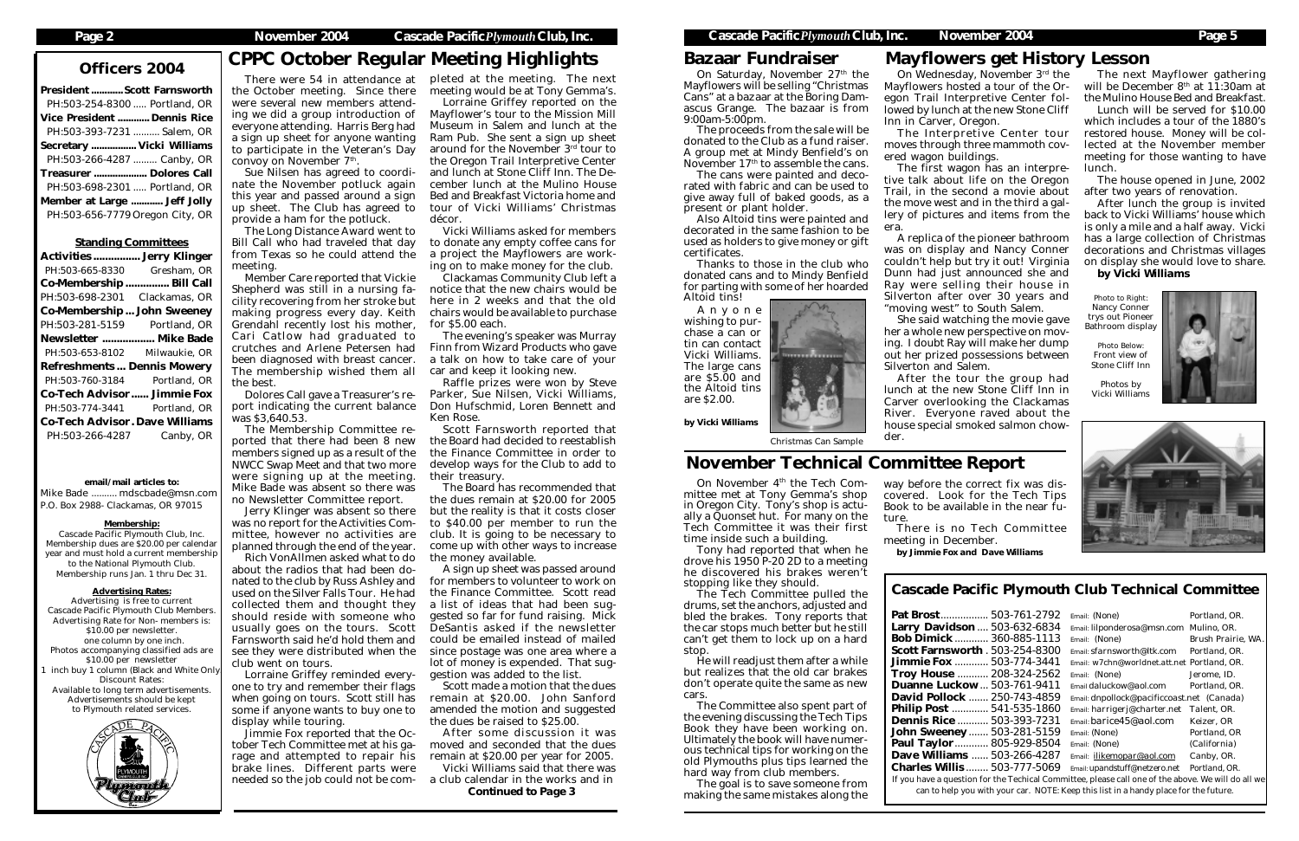# Officers 2004 CPPC October Regular Meeting Highlights

| <b>President  Scott Farnsworth</b> |  |
|------------------------------------|--|
| PH:503-254-8300  Portland, OR      |  |
| <b>Vice President  Dennis Rice</b> |  |
| PH:503-393-7231  Salem, OR         |  |
| Secretary  Vicki Williams          |  |
| PH:503-266-4287  Canby, OR         |  |
| Treasurer  Dolores Call            |  |
| PH:503-698-2301  Portland, OR      |  |
| Member at Large  Jeff Jolly        |  |
| PH:503-656-7779 Oregon City, OR    |  |
|                                    |  |

# Standing Committees

| <b>Activities  Jerry Klinger</b>      |               |  |  |  |
|---------------------------------------|---------------|--|--|--|
| PH:503-665-8330                       | Gresham, OR   |  |  |  |
| Co-Membership  Bill Call              |               |  |  |  |
| PH:503-698-2301                       | Clackamas, OR |  |  |  |
| <b>Co-Membership John Sweeney</b>     |               |  |  |  |
| PH:503-281-5159 Portland, OR          |               |  |  |  |
| Newsletter  Mike Bade                 |               |  |  |  |
| PH:503-653-8102                       | Milwaukie, OR |  |  |  |
| <b>Refreshments Dennis Mowery</b>     |               |  |  |  |
| PH:503-760-3184                       | Portland, OR  |  |  |  |
| <b>Co-Tech Advisor Jimmie Fox</b>     |               |  |  |  |
| PH:503-774-3441                       | Portland, OR  |  |  |  |
| <b>Co-Tech Advisor. Dave Williams</b> |               |  |  |  |
| PH:503-266-4287                       | Canby, OR     |  |  |  |

There were 54 in attendance at pleted at the meeting. The next the October meeting. Since there were several new members attending we did a group introduction of everyone attending. Harris Berg had a sign up sheet for anyone wanting to participate in the Veteran's Day convoy on November 7<sup>th</sup>.

email/mail articles to:

Mike Bade .......... mdscbade@msn.com P.O. Box 2988- Clackamas, OR 97015

# Membership:

Cascade Pacific Plymouth Club, Inc. Membership dues are \$20.00 per calendar year and must hold a current membership to the National Plymouth Club. Membership runs Jan. 1 thru Dec 31.

# Advertising Rates:

Advertising is free to current Cascade Pacific Plymouth Club Members. Advertising Rate for Non- members is: \$10.00 per newsletter. one column by one inch. Photos accompanying classified ads are \$10.00 per newsletter inch buy 1 column (Black and White Only Discount Rates: Available to long term advertisements. Advertisements should be kept to Plymouth related services.



Sue Nilsen has agreed to coordinate the November potluck again this year and passed around a sign up sheet. The Club has agreed to provide a ham for the potluck.

The Long Distance Award went to Bill Call who had traveled that day from Texas so he could attend the meeting.

Member Care reported that Vickie Shepherd was still in a nursing facility recovering from her stroke but making progress every day. Keith Grendahl recently lost his mother, Cari Catlow had graduated to crutches and Arlene Petersen had been diagnosed with breast cancer. The membership wished them all the best.

Dolores Call gave a Treasurer's report indicating the current balance was \$3,640.53.

The Membership Committee reported that there had been 8 new members signed up as a result of the NWCC Swap Meet and that two more were signing up at the meeting. Mike Bade was absent so there was no Newsletter Committee report.

> Pat Brost................. 503-761-2792 *Email: (None) Portland, OR.* Larry Davids Bob Dimick............ 360-885-1113 *Email: (None) Brush Prairie, WA.* **Scott Farnsworth . 503** Jimmie Fox ............ 503-774-3441 *Email: w7chn@worldnet.att.net Portland, OR.* Troy House ........... 208-324-2562 *Email: (None) Jerome, ID.* **Duanne Luckow.** David Pollock ....... 250-743-4859 *Email: dnpollock@pacificcoast.net (Canada)* Philip Post . Dennis Rice ........... 503-393-7231 *Email: barice45@aol.com Keizer, OR*  $John$ *Sweene* **Paul Taylor Dave Willian** Charles Willis ........ 503-777-5069 *Email: upandstuff@netzero.net Portland, OR.* If you have a que

can to help

Jerry Klinger was absent so there was no report for the Activities Committee, however no activities are planned through the end of the year.

Rich VonAllmen asked what to do about the radios that had been donated to the club by Russ Ashley and used on the Silver Falls Tour. He had collected them and thought they should reside with someone who usually goes on the tours. Scott Farnsworth said he'd hold them and see they were distributed when the club went on tours.

Lorraine Griffey reminded everyone to try and remember their flags when going on tours. Scott still has some if anyone wants to buy one to display while touring.

On November 4<sup>th</sup> the Tech Committee met at Tony Gemma's shop in Oregon City. Tony's shop is actually a Quonset hut. For many on the Tech Committee it was their first time inside such a building.

Jimmie Fox reported that the October Tech Committee met at his garage and attempted to repair his brake lines. Different parts were needed so the job could not be com-

meeting would be at Tony Gemma's.

Lorraine Griffey reported on the Mayflower's tour to the Mission Mill Museum in Salem and lunch at the Ram Pub. She sent a sign up sheet around for the November 3rd tour to the Oregon Trail Interpretive Center and lunch at Stone Cliff Inn. The December lunch at the Mulino House Bed and Breakfast Victoria home and tour of Vicki Williams' Christmas décor.

Vicki Williams asked for members to donate any empty coffee cans for a project the Mayflowers are working on to make money for the club.

Clackamas Community Club left a notice that the new chairs would be here in 2 weeks and that the old chairs would be available to purchase for \$5.00 each.

The evening's speaker was Murray Finn from Wizard Products who gave a talk on how to take care of your car and keep it looking new.

Raffle prizes were won by Steve Parker, Sue Nilsen, Vicki Williams, Don Hufschmid, Loren Bennett and Ken Rose.

Scott Farnsworth reported that the Board had decided to reestablish the Finance Committee in order to develop ways for the Club to add to their treasury.

On Saturday, November 27<sup>th</sup> the Mayflowers will be selling "Christmas Cans" at a bazaar at the Boring Damascus Grange. The bazaar is from 9:00am-5:00pm.

The proceeds from the sale will be donated to the Club as a fund raiser. A group met at Mindy Benfield's on November 17<sup>th</sup> to assemble the cans.

The Board has recommended that the dues remain at \$20.00 for 2005 but the reality is that it costs closer to \$40.00 per member to run the club. It is going to be necessary to come up with other ways to increase the money available.

A sign up sheet was passed around for members to volunteer to work on the Finance Committee. Scott read a list of ideas that had been suggested so far for fund raising. Mick DeSantis asked if the newsletter could be emailed instead of mailed since postage was one area where a lot of money is expended. That suggestion was added to the list.

Scott made a motion that the dues remain at \$20.00. John Sanford amended the motion and suggested the dues be raised to \$25.00.

After some discussion it was moved and seconded that the dues remain at \$20.00 per year for 2005.

Vicki Williams said that there was a club calendar in the works and in *Continued to Page 3*

Cascade Pacific Plymouth Club Technical Committee

| 503-761-2792                                                                       | Email: (None)                               | Portland, OR.      |  |  |  |
|------------------------------------------------------------------------------------|---------------------------------------------|--------------------|--|--|--|
| son  503-632-6834                                                                  | Email: lilponderosa@msn.com Mulino, OR.     |                    |  |  |  |
| 360-885-1113                                                                       | Email: (None)                               | Brush Prairie, WA. |  |  |  |
| v <b>orth</b> . 503-254-8300                                                       | Email: sfarnsworth@ltk.com                  | Portland, OR.      |  |  |  |
| 503-774-3441                                                                       | Email: w7chn@worldnet.att.net Portland, OR. |                    |  |  |  |
| 208-324-2562                                                                       | Email: (None)                               | Jerome, ID.        |  |  |  |
| kow  503-761-9411                                                                  | Email daluckow@aol.com                      | Portland. OR.      |  |  |  |
| c <b>k</b> 250-743-4859                                                            | Email: dnpollock@pacificcoast.net (Canada)  |                    |  |  |  |
| 541-535-1860                                                                       | Email: harrigerj@charter.net                | Talent, OR.        |  |  |  |
| 503-393-7231                                                                       | Email: barice45@aol.com                     | Keizer, OR         |  |  |  |
| ey 503-281-5159                                                                    | Email: (None)                               | Portland, OR       |  |  |  |
| 805-929-8504                                                                       | Email: (None)                               | (California)       |  |  |  |
| ns  503-266-4287                                                                   | Email: ilikemopar@aol.com                   | Canby, OR.         |  |  |  |
| <b>is</b> 503-777-5069                                                             | Email: upandstuff@netzero.net               | Portland. OR.      |  |  |  |
| estion for the Techical Committee, please call one of the above. We will do all we |                                             |                    |  |  |  |
| o you with your car. NOTE: Keep this list in a handy place for the future.         |                                             |                    |  |  |  |
|                                                                                    |                                             |                    |  |  |  |

# November Technical Committee Report

Tony had reported that when he drove his 1950 P-20 2D to a meeting he discovered his brakes weren't stopping like they should.

The Tech Committee pulled the drums, set the anchors, adjusted and bled the brakes. Tony reports that the car stops much better but he still can't get them to lock up on a hard stop.

He will readjust them after a while but realizes that the old car brakes don't operate quite the same as new cars.

The Committee also spent part of the evening discussing the Tech Tips Book they have been working on. Ultimately the book will have numerous technical tips for working on the old Plymouths plus tips learned the hard way from club members.

The goal is to save someone from making the same mistakes along the

On Wednesday, November 3rd the Mayflowers hosted a tour of the Oregon Trail Interpretive Center followed by lunch at the new Stone Cliff Inn in Carver, Oregon.

The Interpretive Center tour moves through three mammoth covered wagon buildings.

The first wagon has an interpretive talk about life on the Oregon Trail, in the second a movie about the move west and in the third a gallery of pictures and items from the

# era.

A replica of the pioneer bathroom was on display and Nancy Conner couldn't help but try it out! Virginia Dunn had just announced she and Ray were selling their house in "moving west" to South Salem.

She said watching the movie gave her a whole new perspective on moving. I doubt Ray will make her dump out her prized possessions between

Silverton and Salem.

After the tour the group had lunch at the new Stone Cliff Inn in Carver overlooking the Clackamas River. Everyone raved about the house special smoked salmon chowder.

# Mayflowers get History Lesson

The next Mayflower gathering will be December  $8<sup>th</sup>$  at 11:30am at the Mulino House Bed and Breakfast.

Lunch will be served for \$10.00 which includes a tour of the 1880's restored house. Money will be collected at the November member meeting for those wanting to have lunch.

The house opened in June, 2002 after two years of renovation.

After lunch the group is invited back to Vicki Williams' house which is only a mile and a half away. Vicki has a large collection of Christmas decorations and Christmas villages on display she would love to share. *by Vicki Williams*

Bazaar Fundraiser

The cans were painted and decorated with fabric and can be used to give away full of baked goods, as a present or plant holder.

Also Altoid tins were painted and decorated in the same fashion to be used as holders to give money or gift certificates.

Altoid tins! Photo to Right: Silverton after over 30 years and Photo to Right: Thanks to those in the club who donated cans and to Mindy Benfield for parting with some of her hoarded<br>Altoid tins!

Nancy Conner trys out Pioneer Bathroom display

Photo Below: Front view of Stone Cliff Inn

Photos by Vicki Williams





way before the correct fix was discovered. Look for the Tech Tips Book to be available in the near future.

There is no Tech Committee meeting in December. *by Jimmie Fox and Dave Williams*

Anyone wishing to purchase a can or tin can contact Vicki Williams. The large cans are \$5.00 and the Altoid tins are \$2.00.

*by Vicki Williams*

## Christmas Can Sample